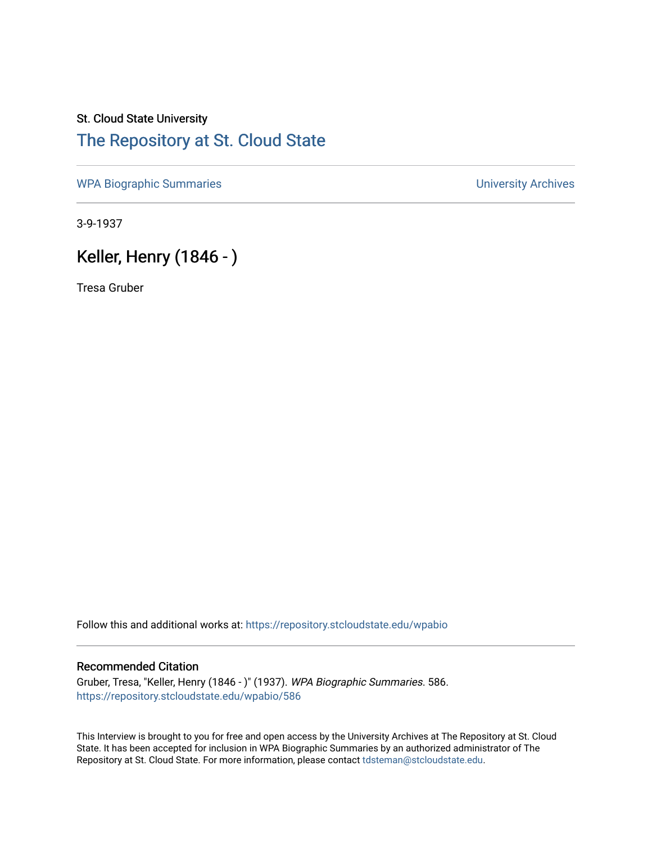### St. Cloud State University [The Repository at St. Cloud State](https://repository.stcloudstate.edu/)

[WPA Biographic Summaries](https://repository.stcloudstate.edu/wpabio) **WPA Biographic Summaries University Archives** 

3-9-1937

# Keller, Henry (1846 - )

Tresa Gruber

Follow this and additional works at: [https://repository.stcloudstate.edu/wpabio](https://repository.stcloudstate.edu/wpabio?utm_source=repository.stcloudstate.edu%2Fwpabio%2F586&utm_medium=PDF&utm_campaign=PDFCoverPages) 

#### Recommended Citation

Gruber, Tresa, "Keller, Henry (1846 - )" (1937). WPA Biographic Summaries. 586. [https://repository.stcloudstate.edu/wpabio/586](https://repository.stcloudstate.edu/wpabio/586?utm_source=repository.stcloudstate.edu%2Fwpabio%2F586&utm_medium=PDF&utm_campaign=PDFCoverPages) 

This Interview is brought to you for free and open access by the University Archives at The Repository at St. Cloud State. It has been accepted for inclusion in WPA Biographic Summaries by an authorized administrator of The Repository at St. Cloud State. For more information, please contact [tdsteman@stcloudstate.edu.](mailto:tdsteman@stcloudstate.edu)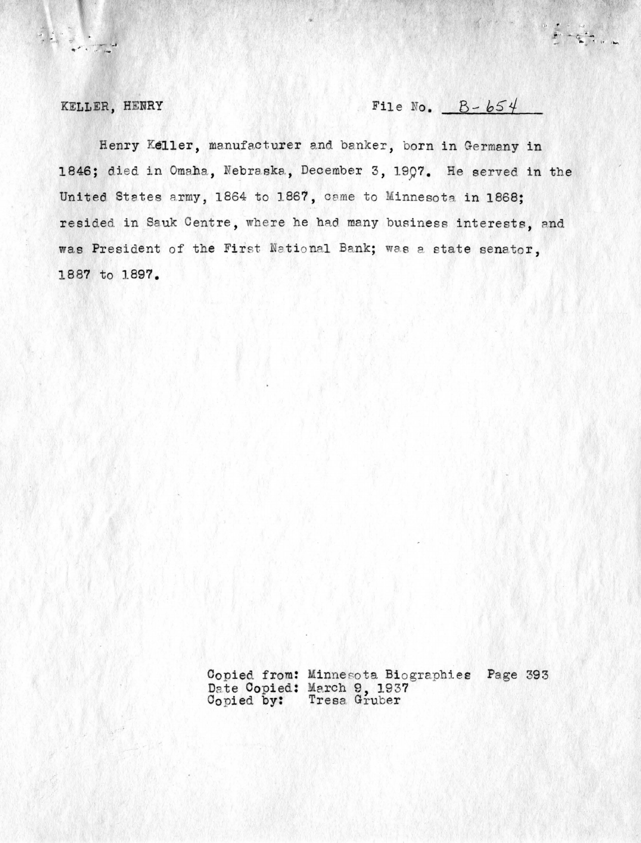KELLER, HENRY

 $\begin{array}{c} \begin{array}{c} \mathcal{L} \\ \mathcal{L} \end{array} & \begin{array}{c} \mathcal{L} \\ \mathcal{L} \end{array} & \begin{array}{c} \mathcal{L} \\ \mathcal{L} \end{array} & \begin{array}{c} \mathcal{L} \\ \mathcal{L} \end{array} & \begin{array}{c} \mathcal{L} \\ \mathcal{L} \end{array} & \begin{array}{c} \mathcal{L} \\ \mathcal{L} \end{array} & \begin{array}{c} \mathcal{L} \\ \mathcal{L} \end{array} & \begin{array}{c} \mathcal{L} \\ \mathcal{L} \end{array} & \begin{array}{$ 

## File No.  $B - b54$

Henry Keller, manufacturer and banker, born in Germany in 1846; died in Omaha, Nebraska, December 3, 1997. He served in the United States army, 1864 to 1867, came to Minnesota in 1868: resided in Sauk Centre, where he had many business interests, and was President of the First National Bank; was a state senator. 1887 to 1897.

> Copied from: Minnesota Biographies Page 393 Date Copied: March 9, 1937<br>Copied by: Tresa Gruber